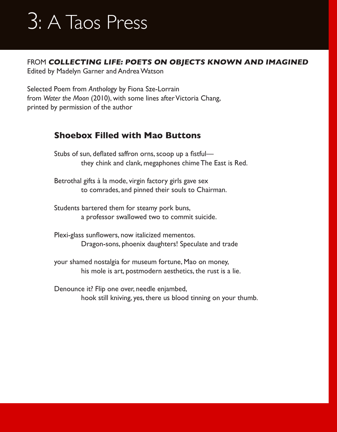FROM **COLLECTING LIFE: POETS ON OBJECTS KNOWN AND IMAGINED**

Edited by Madelyn Garner and Andrea Watson

Selected Poem from *Anthology* by Fiona Sze-Lorrain from *Water the Moon* (2010), with some lines after Victoria Chang, printed by permission of the author

### **Shoebox Filled with Mao Buttons**

Stubs of sun, deflated saffron orns, scoop up a fistfulthey chink and clank, megaphones chime The East is Red.

Betrothal gifts à la mode, virgin factory girls gave sex to comrades, and pinned their souls to Chairman.

Students bartered them for steamy pork buns, a professor swallowed two to commit suicide.

 Plexi-glass sunflowers, now italicized mementos. Dragon-sons, phoenix daughters! Speculate and trade

your shamed nostalgia for museum fortune, Mao on money, his mole is art, postmodern aesthetics, the rust is a lie.

Denounce it? Flip one over, needle enjambed, hook still kniving, yes, there us blood tinning on your thumb.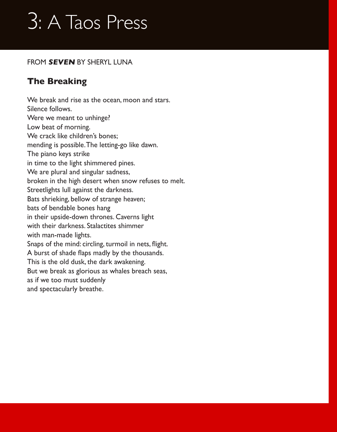#### FROM **SEVEN** BY SHERYL LUNA

### **The Breaking**

We break and rise as the ocean, moon and stars. Silence follows. Were we meant to unhinge? Low beat of morning. We crack like children's bones; mending is possible. The letting-go like dawn. The piano keys strike in time to the light shimmered pines. We are plural and singular sadness, broken in the high desert when snow refuses to melt. Streetlights lull against the darkness. Bats shrieking, bellow of strange heaven; bats of bendable bones hang in their upside-down thrones. Caverns light with their darkness. Stalactites shimmer with man-made lights. Snaps of the mind: circling, turmoil in nets, flight. A burst of shade flaps madly by the thousands. This is the old dusk, the dark awakening. But we break as glorious as whales breach seas, as if we too must suddenly and spectacularly breathe.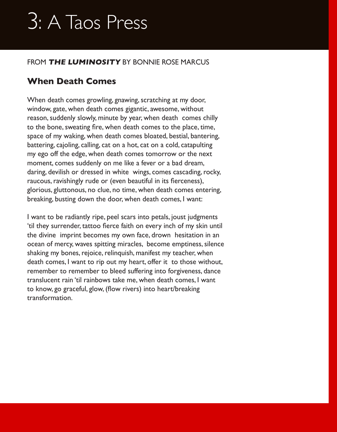#### FROM **THE LUMINOSITY** BY BONNIE ROSE MARCUS

### **When Death Comes**

When death comes growling, gnawing, scratching at my door, window, gate, when death comes gigantic, awesome, without reason, suddenly slowly, minute by year, when death comes chilly to the bone, sweating fire, when death comes to the place, time, space of my waking, when death comes bloated, bestial, bantering, battering, cajoling, calling, cat on a hot, cat on a cold, catapulting my ego off the edge, when death comes tomorrow or the next moment, comes suddenly on me like a fever or a bad dream, daring, devilish or dressed in white wings, comes cascading, rocky, raucous, ravishingly rude or (even beautiful in its fierceness), glorious, gluttonous, no clue, no time, when death comes entering, breaking, busting down the door, when death comes, I want:

I want to be radiantly ripe, peel scars into petals, joust judgments 'til they surrender, tattoo fierce faith on every inch of my skin until the divine imprint becomes my own face, drown hesitation in an ocean of mercy, waves spitting miracles, become emptiness, silence shaking my bones, rejoice, relinquish, manifest my teacher, when death comes, I want to rip out my heart, offer it to those without, remember to remember to bleed suffering into forgiveness, dance translucent rain 'til rainbows take me, when death comes, I want to know, go graceful, glow, (flow rivers) into heart/breaking transformation.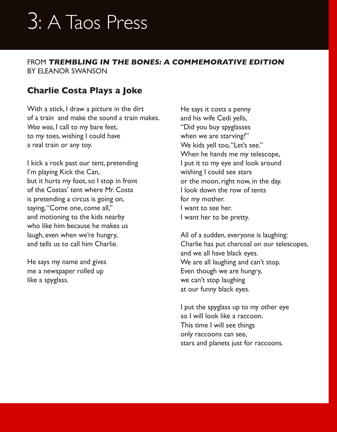FROM **TREMBLING IN THE BONES: A COMMEMORATIVE EDITION** BY ELEANOR SWANSON

### **Charlie Costa Plays a Joke**

With a stick, I draw a picture in the dirt of a train and make the sound a train makes. *Woo woo*, I call to my bare feet, to my toes, wishing I could have a real train or any toy.

I kick a rock past our tent, pretending I'm playing Kick the Can, but it hurts my foot, so I stop in front of the Costas' tent where Mr. Costa is pretending a circus is going on, saying, "Come one, come all," and motioning to the kids nearby who like him because he makes us laugh, even when we're hungry, and tells us to call him Charlie.

He says my name and gives me a newspaper rolled up like a spyglass.

He says it costs a penny and his wife Cedi yells, "Did you buy spyglasses when we are starving?" We kids yell too, "Let's see." When he hands me my telescope, I put it to my eye and look around wishing I could see stars or the moon, right now, in the day. I look down the row of tents for my mother. I want to see her. I want her to be pretty.

All of a sudden, everyone is laughing: Charlie has put charcoal on our telescopes, and we all have black eyes. We are all laughing and can't stop. Even though we are hungry, we can't stop laughing at our funny black eyes.

I put the spyglass up to my other eye so I will look like a raccoon. This time I will see things only raccoons can see, stars and planets just for raccoons.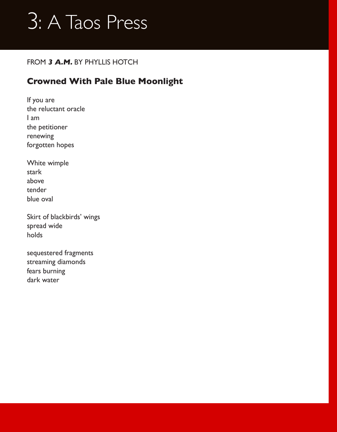#### FROM **3 A.M.** BY PHYLLIS HOTCH

### **Crowned With Pale Blue Moonlight**

If you are the reluctant oracle I am the petitioner renewing forgotten hopes

White wimple stark above tender blue oval

Skirt of blackbirds' wings spread wide holds

sequestered fragments streaming diamonds fears burning dark water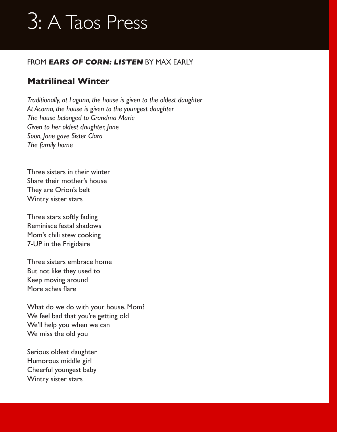#### FROM **EARS OF CORN: LISTEN** BY MAX EARLY

### **Matrilineal Winter**

*Traditionally, at Laguna, the house is given to the oldest daughter At Acoma, the house is given to the youngest daughter The house belonged to Grandma Marie Given to her oldest daughter, Jane Soon, Jane gave Sister Clara The family home*

Three sisters in their winter Share their mother's house They are Orion's belt Wintry sister stars

Three stars softly fading Reminisce festal shadows Mom's chili stew cooking 7-UP in the Frigidaire

Three sisters embrace home But not like they used to Keep moving around More aches flare

What do we do with your house, Mom? We feel bad that you're getting old We'll help you when we can We miss the old you

Serious oldest daughter Humorous middle girl Cheerful youngest baby Wintry sister stars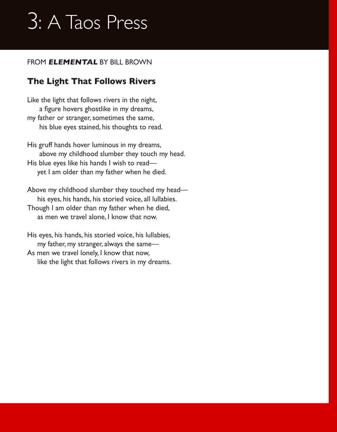#### FROM **ELEMENTAL** BY BILL BROWN

### **The Light That Follows Rivers**

Like the light that follows rivers in the night, a figure hovers ghostlike in my dreams, my father or stranger, sometimes the same, his blue eyes stained, his thoughts to read.

His gruff hands hover luminous in my dreams, above my childhood slumber they touch my head. His blue eyes like his hands I wish to read yet I am older than my father when he died.

Above my childhood slumber they touched my head his eyes, his hands, his storied voice, all lullabies. Though I am older than my father when he died, as men we travel alone, I know that now.

His eyes, his hands, his storied voice, his lullabies, my father, my stranger, always the same— As men we travel lonely, I know that now, like the light that follows rivers in my dreams.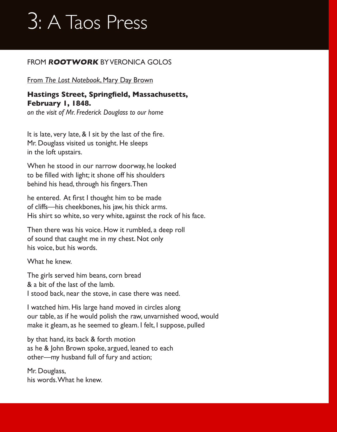#### FROM *R***OOTWORK** BY VERONICA GOLOS

#### From *The Lost Notebook*, Mary Day Brown

#### **Hastings Street, Springfield, Massachusetts, February 1, 1848.**

*on the visit of Mr. Frederick Douglass to our home*

It is late, very late, & I sit by the last of the fire. Mr. Douglass visited us tonight. He sleeps in the loft upstairs.

When he stood in our narrow doorway, he looked to be filled with light; it shone off his shoulders behind his head, through his fingers.Then

he entered. At first I thought him to be made of cliffs—his cheekbones, his jaw, his thick arms. His shirt so white, so very white, against the rock of his face.

Then there was his voice. How it rumbled, a deep roll of sound that caught me in my chest. Not only his voice, but his words.

What he knew.

The girls served him beans, corn bread & a bit of the last of the lamb. I stood back, near the stove, in case there was need.

I watched him. His large hand moved in circles along our table, as if he would polish the raw, unvarnished wood, would make it gleam, as he seemed to gleam. I felt, I suppose, pulled

by that hand, its back & forth motion as he & John Brown spoke, argued, leaned to each other—my husband full of fury and action;

Mr. Douglass, his words. What he knew.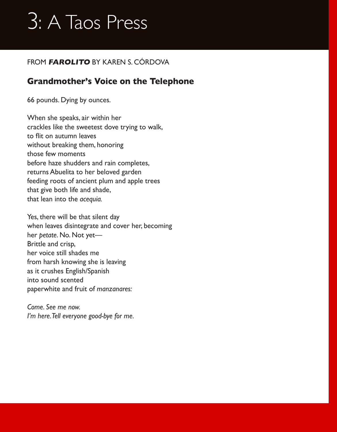#### FROM **FAROLITO** BY KAREN S. CÓRDOVA

### **Grandmother's Voice on the Telephone**

66 pounds. Dying by ounces.

When she speaks, air within her crackles like the sweetest dove trying to walk, to flit on autumn leaves without breaking them, honoring those few moments before haze shudders and rain completes, returns Abuelita to her beloved garden feeding roots of ancient plum and apple trees that give both life and shade, that lean into the *acequia.*

Yes, there will be that silent day when leaves disintegrate and cover her, becoming her *petate*. No. Not yet— Brittle and crisp, her voice still shades me from harsh knowing she is leaving as it crushes English/Spanish into sound scented paperwhite and fruit of *manzanares:*

*Come. See me now. I'm here. Tell everyone good-bye for me.*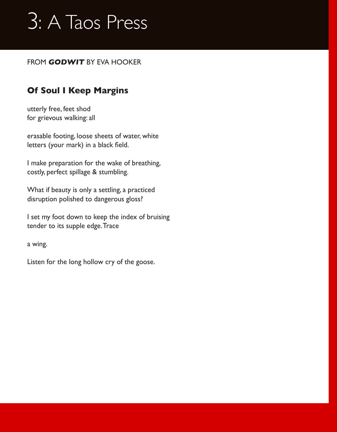#### FROM **GODWIT** BY EVA HOOKER

### **Of Soul I Keep Margins**

utterly free, feet shod for grievous walking: all

erasable footing, loose sheets of water, white letters (your mark) in a black field.

I make preparation for the wake of breathing, costly, perfect spillage & stumbling.

What if beauty is only a settling, a practiced disruption polished to dangerous gloss?

I set my foot down to keep the index of bruising tender to its supple edge. Trace

a wing.

Listen for the long hollow cry of the goose.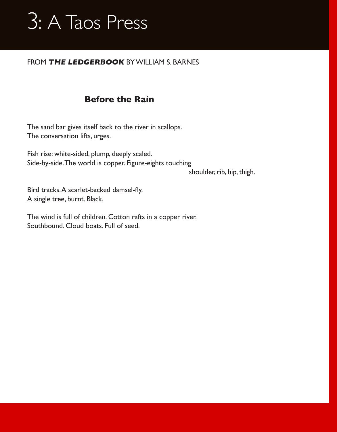#### FROM **THE LEDGERBOOK** BY WILLIAM S. BARNES

### **Before the Rain**

The sand bar gives itself back to the river in scallops. The conversation lifts, urges.

Fish rise: white-sided, plump, deeply scaled. Side-by-side. The world is copper. Figure-eights touching

shoulder, rib, hip, thigh.

Bird tracks.A scarlet-backed damsel-fly. A single tree, burnt. Black.

The wind is full of children. Cotton rafts in a copper river. Southbound. Cloud boats. Full of seed.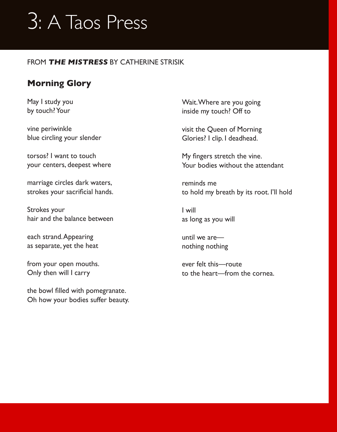#### FROM **THE MISTRESS** BY CATHERINE STRISIK

### **Morning Glory**

May I study you by touch? Your

vine periwinkle blue circling your slender

torsos? I want to touch your centers, deepest where

marriage circles dark waters, strokes your sacrificial hands.

Strokes your hair and the balance between

each strand. Appearing as separate, yet the heat

from your open mouths. Only then will I carry

the bowl filled with pomegranate. Oh how your bodies suffer beauty. Wait. Where are you going inside my touch? Off to

visit the Queen of Morning Glories? I clip. I deadhead.

My fingers stretch the vine. Your bodies without the attendant

reminds me to hold my breath by its root. I'll hold

I will as long as you will

until we are nothing nothing

ever felt this—route to the heart—from the cornea.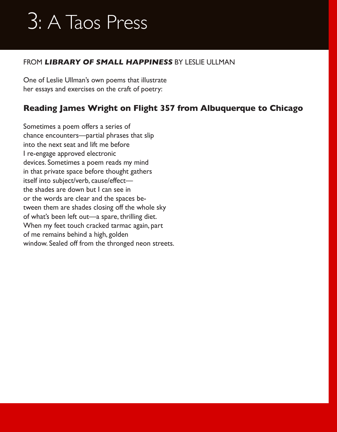#### FROM **LIBRARY OF SMALL HAPPINESS** BY LESLIE ULLMAN

One of Leslie Ullman's own poems that illustrate her essays and exercises on the craft of poetry:

### **Reading James Wright on Flight 357 from Albuquerque to Chicago**

Sometimes a poem offers a series of chance encounters—partial phrases that slip into the next seat and lift me before I re-engage approved electronic devices. Sometimes a poem reads my mind in that private space before thought gathers itself into subject/verb, cause/effect the shades are down but I can see in or the words are clear and the spaces between them are shades closing off the whole sky of what's been left out—a spare, thrilling diet. When my feet touch cracked tarmac again, part of me remains behind a high, golden window. Sealed off from the thronged neon streets.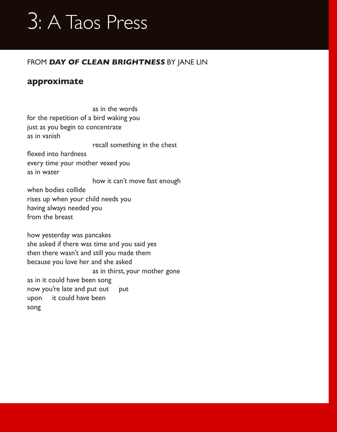#### FROM **DAY OF CLEAN BRIGHTNESS** BY JANE LIN

#### **approximate**

 as in the words for the repetition of a bird waking you just as you begin to concentrate as in vanish recall something in the chest flexed into hardness every time your mother vexed you as in water how it can't move fast enough when bodies collide rises up when your child needs you having always needed you from the breast how yesterday was pancakes she asked if there was time and you said yes then there wasn't and still you made them because you love her and she asked as in thirst, your mother gone as in it could have been song now you're late and put out put upon it could have been song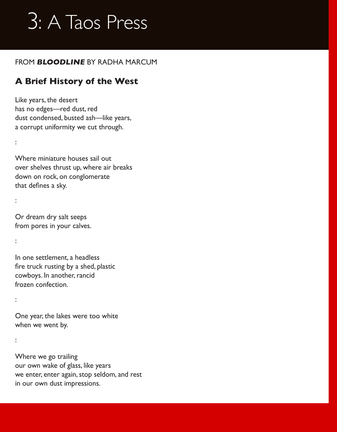#### FROM **BLOODLINE** BY RADHA MARCUM

### **A Brief History of the West**

Like years, the desert has no edges-red dust, red dust condensed, busted ash—like years, a corrupt uniformity we cut through.

Where miniature houses sail out over shelves thrust up, where air breaks down on rock, on conglomerate that defines a sky.

:

:

Or dream dry salt seeps from pores in your calves.

:

In one settlement, a headless fire truck rusting by a shed, plastic cowboys. In another, rancid frozen confection.

:

One year, the lakes were too white when we went by.

:

Where we go trailing our own wake of glass, like years we enter, enter again, stop seldom, and rest in our own dust impressions.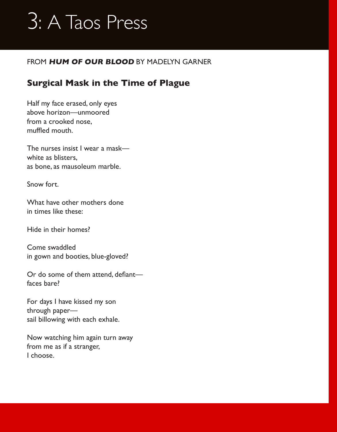#### FROM **HUM OF OUR BLOOD** BY MADELYN GARNER

### **Surgical Mask in the Time of Plague**

Half my face erased, only eyes above horizon—unmoored from a crooked nose, muffled mouth.

The nurses insist I wear a mask white as blisters, as bone, as mausoleum marble.

Snow fort.

What have other mothers done in times like these:

Hide in their homes?

Come swaddled in gown and booties, blue-gloved?

Or do some of them attend, defiant faces bare?

For days I have kissed my son through paper sail billowing with each exhale.

Now watching him again turn away from me as if a stranger, I choose.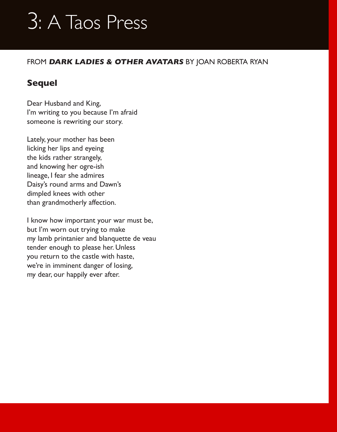#### FROM **DARK LADIES & OTHER AVATARS** BY JOAN ROBERTA RYAN

### **Sequel**

Dear Husband and King, I'm writing to you because I'm afraid someone is rewriting our story.

Lately, your mother has been licking her lips and eyeing the kids rather strangely, and knowing her ogre-ish lineage, I fear she admires Daisy's round arms and Dawn's dimpled knees with other than grandmotherly affection.

I know how important your war must be, but I'm worn out trying to make my lamb printanier and blanquette de veau tender enough to please her. Unless you return to the castle with haste, we're in imminent danger of losing, my dear, our happily ever after.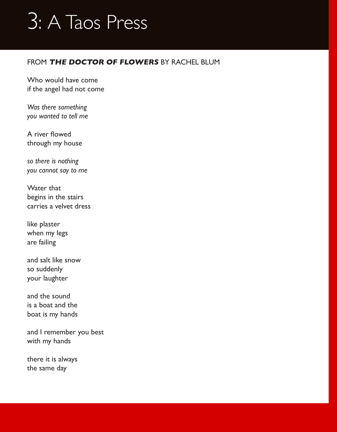#### FROM **THE DOCTOR OF FLOWERS** BY RACHEL BLUM

Who would have come if the angel had not come

*Was there something you wanted to tell me*

A river flowed through my house

*so there is nothing you cannot say to me*

Water that begins in the stairs carries a velvet dress

like plaster when my legs are failing

and salt like snow so suddenly your laughter

and the sound is a boat and the boat is my hands

and I remember you best with my hands

there it is always the same day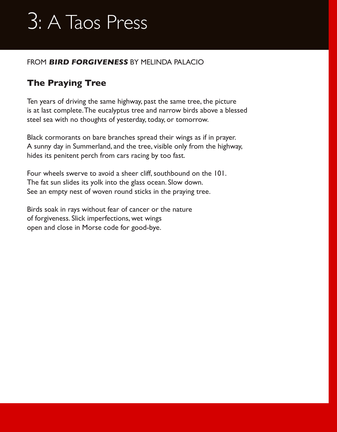#### FROM **BIRD FORGIVENESS** BY MELINDA PALACIO

### **The Praying Tree**

Ten years of driving the same highway, past the same tree, the picture is at last complete. The eucalyptus tree and narrow birds above a blessed steel sea with no thoughts of yesterday, today, or tomorrow.

Black cormorants on bare branches spread their wings as if in prayer. A sunny day in Summerland, and the tree, visible only from the highway, hides its penitent perch from cars racing by too fast.

Four wheels swerve to avoid a sheer cliff, southbound on the 101. The fat sun slides its yolk into the glass ocean. Slow down. See an empty nest of woven round sticks in the praying tree.

Birds soak in rays without fear of cancer or the nature of forgiveness. Slick imperfections, wet wings open and close in Morse code for good-bye.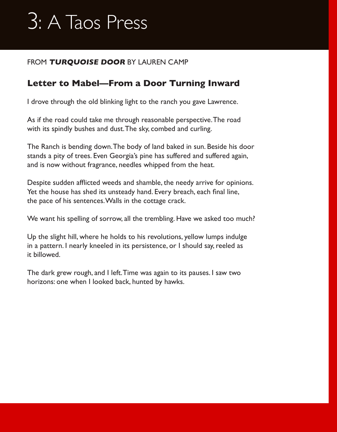#### FROM **TURQUOISE DOOR** BY LAUREN CAMP

### **Letter to Mabel—From a Door Turning Inward**

I drove through the old blinking light to the ranch you gave Lawrence.

As if the road could take me through reasonable perspective. The road with its spindly bushes and dust. The sky, combed and curling.

The Ranch is bending down. The body of land baked in sun. Beside his door stands a pity of trees. Even Georgia's pine has suffered and suffered again, and is now without fragrance, needles whipped from the heat.

Despite sudden afflicted weeds and shamble, the needy arrive for opinions. Yet the house has shed its unsteady hand. Every breach, each final line, the pace of his sentences. Walls in the cottage crack.

We want his spelling of sorrow, all the trembling. Have we asked too much?

Up the slight hill, where he holds to his revolutions, yellow lumps indulge in a pattern. I nearly kneeled in its persistence, or I should say, reeled as it billowed.

The dark grew rough, and I left. Time was again to its pauses. I saw two horizons: one when I looked back, hunted by hawks.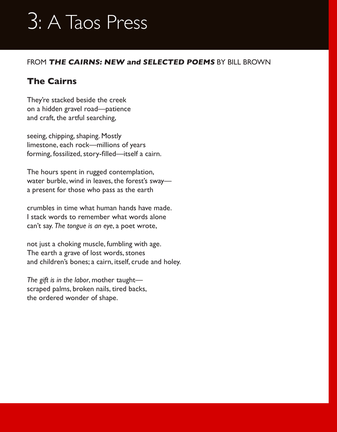#### FROM **THE CAIRNS: NEW and SELECTED POEMS** BY BILL BROWN

### **The Cairns**

They're stacked beside the creek on a hidden gravel road—patience and craft, the artful searching,

seeing, chipping, shaping. Mostly limestone, each rock—millions of years forming, fossilized, story-filled—itself a cairn.

The hours spent in rugged contemplation, water burble, wind in leaves, the forest's sway a present for those who pass as the earth

crumbles in time what human hands have made. I stack words to remember what words alone can't say. *The tongue is an eye*, a poet wrote,

not just a choking muscle, fumbling with age. The earth a grave of lost words, stones and children's bones; a cairn, itself, crude and holey.

*The gift is in the labor*, mother taught scraped palms, broken nails, tired backs, the ordered wonder of shape.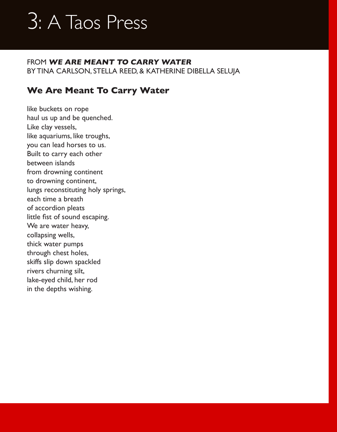FROM **WE ARE MEANT TO CARRY WATER** BY TINA CARLSON, STELLA REED, & KATHERINE DIBELLA SELUJA

### **We Are Meant To Carry Water**

like buckets on rope haul us up and be quenched. Like clay vessels, like aquariums, like troughs, you can lead horses to us. Built to carry each other between islands from drowning continent to drowning continent, lungs reconstituting holy springs, each time a breath of accordion pleats little fist of sound escaping. We are water heavy, collapsing wells, thick water pumps through chest holes, skiffs slip down spackled rivers churning silt, lake-eyed child, her rod in the depths wishing.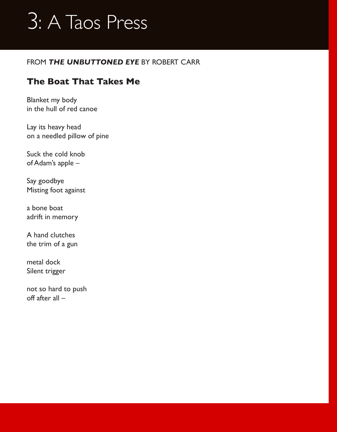#### FROM *THE UNBUTTONED EYE* BY ROBERT CARR

### **The Boat That Takes Me**

Blanket my body in the hull of red canoe

Lay its heavy head on a needled pillow of pine

Suck the cold knob of Adam's apple –

Say goodbye Misting foot against

a bone boat adrift in memory

A hand clutches the trim of a gun

metal dock Silent trigger

not so hard to push off after all –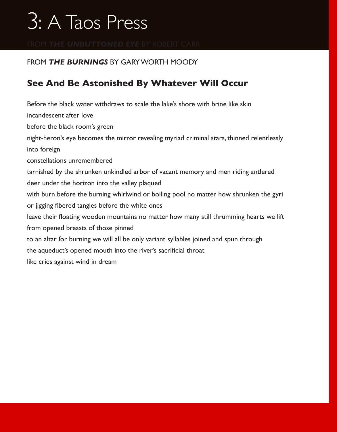#### FROM *THE BURNINGS* BY GARY WORTH MOODY

### **See And Be Astonished By Whatever Will Occur**

Before the black water withdraws to scale the lake's shore with brine like skin incandescent after love before the black room's green night-heron's eye becomes the mirror revealing myriad criminal stars, thinned relentlessly into foreign constellations unremembered tarnished by the shrunken unkindled arbor of vacant memory and men riding antlered deer under the horizon into the valley plaqued with burn before the burning whirlwind or boiling pool no matter how shrunken the gyri or jigging fibered tangles before the white ones leave their floating wooden mountains no matter how many still thrumming hearts we lift from opened breasts of those pinned to an altar for burning we will all be only variant syllables joined and spun through the aqueduct's opened mouth into the river's sacrificial throat like cries against wind in dream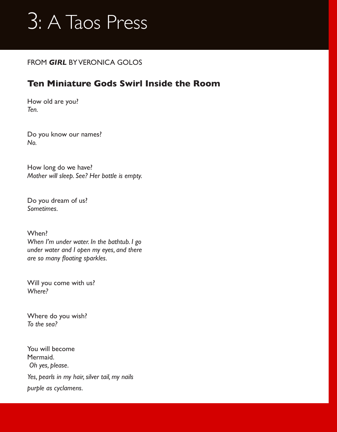

#### FROM *GIRL* BY VERONICA GOLOS

### **Ten Miniature Gods Swirl Inside the Room**

How old are you? *Ten.*

Do you know our names? *No.*

How long do we have? *Mother will sleep. See? Her bottle is empty.*

Do you dream of us? *Sometimes.*

When? *When I'm under water. In the bathtub. I go under water and I open my eyes, and there are so many floating sparkles.* 

Will you come with us? *Where?*

Where do you wish? *To the sea?*

You will become Mermaid.  *Oh yes, please. Yes, pearls in my hair, silver tail, my nails purple as cyclamens.*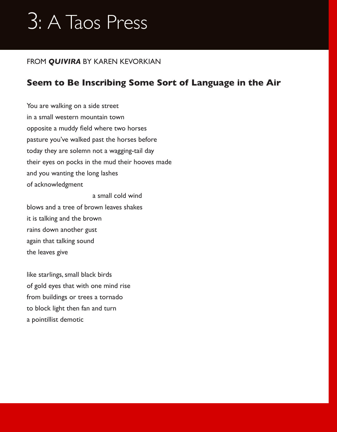#### FROM *QUIVIRA* BY KAREN KEVORKIAN

### **Seem to Be Inscribing Some Sort of Language in the Air**

You are walking on a side street in a small western mountain town opposite a muddy field where two horses pasture you've walked past the horses before today they are solemn not a wagging-tail day their eyes on pocks in the mud their hooves made and you wanting the long lashes of acknowledgment

a small cold wind

blows and a tree of brown leaves shakes it is talking and the brown rains down another gust again that talking sound the leaves give

like starlings, small black birds of gold eyes that with one mind rise from buildings or trees a tornado to block light then fan and turn a pointillist demotic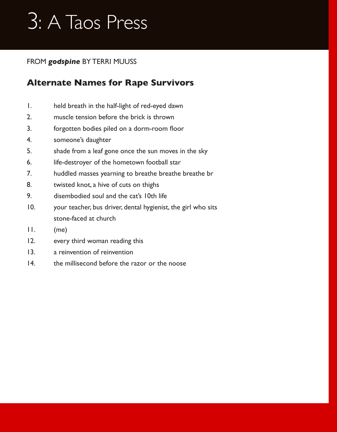#### FROM *godspine* BY TERRI MUUSS

### **Alternate Names for Rape Survivors**

- 1. held breath in the half-light of red-eyed dawn
- 2. muscle tension before the brick is thrown
- 3. forgotten bodies piled on a dorm-room floor
- 4. someone's daughter
- 5. shade from a leaf gone once the sun moves in the sky
- 6. life-destroyer of the hometown football star
- 7. huddled masses yearning to breathe breathe breathe br
- 8. twisted knot, a hive of cuts on thighs
- 9. disembodied soul and the cat's 10th life
- 10. your teacher, bus driver, dental hygienist, the girl who sits stone-faced at church
- 11. (me)
- 12. every third woman reading this
- 13. a reinvention of reinvention
- 14. the millisecond before the razor or the noose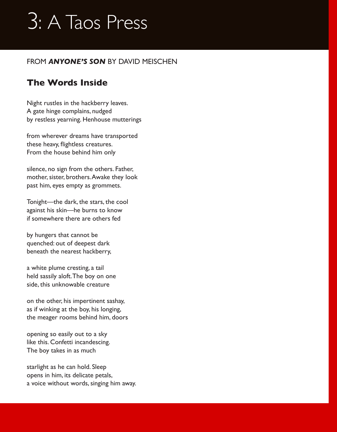#### FROM *ANYONE'S SON* BY DAVID MEISCHEN

### **The Words Inside**

Night rustles in the hackberry leaves. A gate hinge complains, nudged by restless yearning. Henhouse mutterings

from wherever dreams have transported these heavy, flightless creatures. From the house behind him only

silence, no sign from the others. Father, mother, sister, brothers. Awake they look past him, eyes empty as grommets.

Tonight—the dark, the stars, the cool against his skin—he burns to know if somewhere there are others fed

by hungers that cannot be quenched: out of deepest dark beneath the nearest hackberry,

a white plume cresting, a tail held sassily aloft. The boy on one side, this unknowable creature

on the other, his impertinent sashay, as if winking at the boy, his longing, the meager rooms behind him, doors

opening so easily out to a sky like this. Confetti incandescing. The boy takes in as much

starlight as he can hold. Sleep opens in him, its delicate petals, a voice without words, singing him away.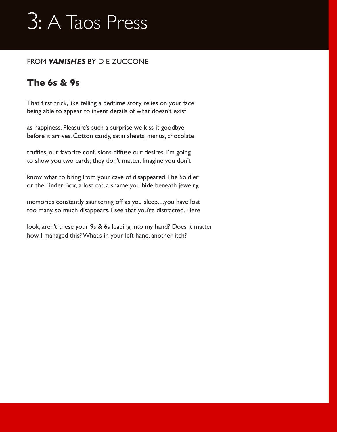#### FROM *VANISHES* BY D E ZUCCONE

### **The 6s & 9s**

That first trick, like telling a bedtime story relies on your face being able to appear to invent details of what doesn't exist

as happiness. Pleasure's such a surprise we kiss it goodbye before it arrives. Cotton candy, satin sheets, menus, chocolate

truffles, our favorite confusions diffuse our desires. I'm going to show you two cards; they don't matter. Imagine you don't

know what to bring from your cave of disappeared. The Soldier or the Tinder Box, a lost cat, a shame you hide beneath jewelry,

memories constantly sauntering off as you sleep…you have lost too many, so much disappears, I see that you're distracted. Here

look, aren't these your 9s & 6s leaping into my hand? Does it matter how I managed this? What's in your left hand, another itch?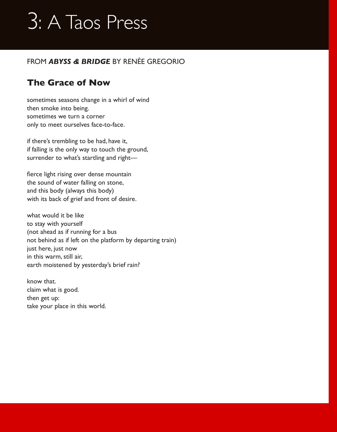#### FROM *ABYSS & BRIDGE* BY RENÉE GREGORIO

## **The Grace of Now**

sometimes seasons change in a whirl of wind then smoke into being. sometimes we turn a corner only to meet ourselves face-to-face.

if there's trembling to be had, have it, if falling is the only way to touch the ground, surrender to what's startling and right—

fierce light rising over dense mountain the sound of water falling on stone, and this body (always this body) with its back of grief and front of desire.

what would it be like to stay with yourself (not ahead as if running for a bus not behind as if left on the platform by departing train) just here, just now in this warm, still air, earth moistened by yesterday's brief rain?

know that. claim what is good. then get up: take your place in this world.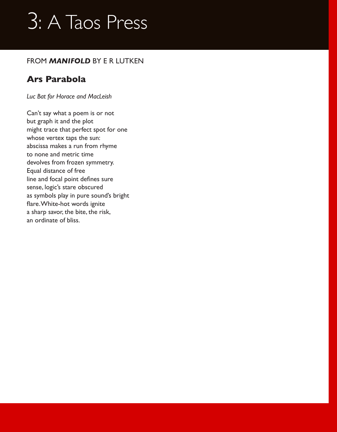#### FROM *MANIFOLD* BY E R LUTKEN

### **Ars Parabola**

*Luc Bat for Horace and MacLeish*

Can't say what a poem is or not but graph it and the plot might trace that perfect spot for one whose vertex taps the sun: abscissa makes a run from rhyme to none and metric time devolves from frozen symmetry. Equal distance of free line and focal point defines sure sense, logic's stare obscured as symbols play in pure sound's bright flare.White-hot words ignite a sharp savor, the bite, the risk, an ordinate of bliss.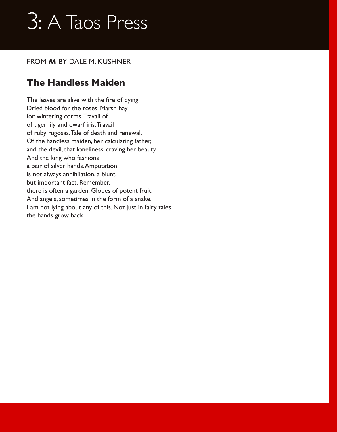#### FROM *M* BY DALE M. KUSHNER

### **The Handless Maiden**

The leaves are alive with the fire of dying. Dried blood for the roses. Marsh hay for wintering corms. Travail of of tiger lily and dwarf iris. Travail of ruby rugosas. Tale of death and renewal. Of the handless maiden, her calculating father, and the devil, that loneliness, craving her beauty. And the king who fashions a pair of silver hands. Amputation is not always annihilation, a blunt but important fact. Remember, there is often a garden. Globes of potent fruit. And angels, sometimes in the form of a snake. I am not lying about any of this. Not just in fairy tales the hands grow back.